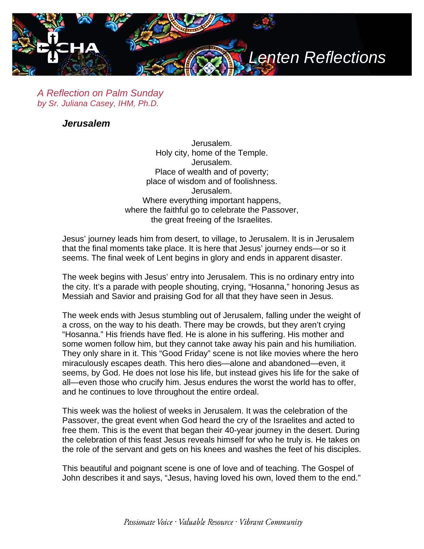

*A Reflection on Palm Sunday by Sr. Juliana Casey, IHM, Ph.D.*

*Jerusalem*

Jerusalem. Holy city, home of the Temple. Jerusalem. Place of wealth and of poverty; place of wisdom and of foolishness. Jerusalem. Where everything important happens, where the faithful go to celebrate the Passover, the great freeing of the Israelites.

Jesus' journey leads him from desert, to village, to Jerusalem. It is in Jerusalem that the final moments take place. It is here that Jesus' journey ends—or so it seems. The final week of Lent begins in glory and ends in apparent disaster.

The week begins with Jesus' entry into Jerusalem. This is no ordinary entry into the city. It's a parade with people shouting, crying, "Hosanna," honoring Jesus as Messiah and Savior and praising God for all that they have seen in Jesus.

The week ends with Jesus stumbling out of Jerusalem, falling under the weight of a cross, on the way to his death. There may be crowds, but they aren't crying "Hosanna." His friends have fled. He is alone in his suffering. His mother and some women follow him, but they cannot take away his pain and his humiliation. They only share in it. This "Good Friday" scene is not like movies where the hero miraculously escapes death. This hero dies—alone and abandoned—even, it seems, by God. He does not lose his life, but instead gives his life for the sake of all—even those who crucify him. Jesus endures the worst the world has to offer, and he continues to love throughout the entire ordeal.

This week was the holiest of weeks in Jerusalem. It was the celebration of the Passover, the great event when God heard the cry of the Israelites and acted to free them. This is the event that began their 40-year journey in the desert. During the celebration of this feast Jesus reveals himself for who he truly is. He takes on the role of the servant and gets on his knees and washes the feet of his disciples.

This beautiful and poignant scene is one of love and of teaching. The Gospel of John describes it and says, "Jesus, having loved his own, loved them to the end."